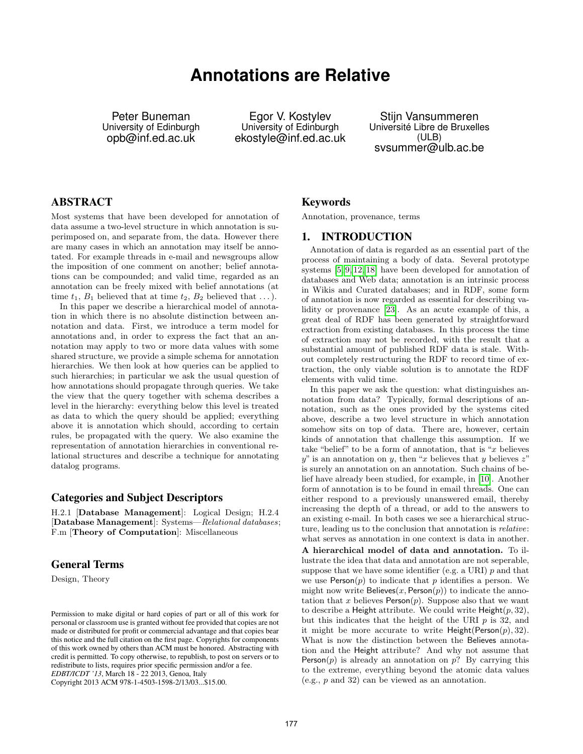# **Annotations are Relative**

Peter Buneman University of Edinburgh opb@inf.ed.ac.uk

Egor V. Kostylev University of Edinburgh ekostyle@inf.ed.ac.uk

Stijn Vansummeren Université Libre de Bruxelles (ULB) svsummer@ulb.ac.be

# ABSTRACT

Most systems that have been developed for annotation of data assume a two-level structure in which annotation is superimposed on, and separate from, the data. However there are many cases in which an annotation may itself be annotated. For example threads in e-mail and newsgroups allow the imposition of one comment on another; belief annotations can be compounded; and valid time, regarded as an annotation can be freely mixed with belief annotations (at time  $t_1$ ,  $B_1$  believed that at time  $t_2$ ,  $B_2$  believed that ...).

In this paper we describe a hierarchical model of annotation in which there is no absolute distinction between annotation and data. First, we introduce a term model for annotations and, in order to express the fact that an annotation may apply to two or more data values with some shared structure, we provide a simple schema for annotation hierarchies. We then look at how queries can be applied to such hierarchies; in particular we ask the usual question of how annotations should propagate through queries. We take the view that the query together with schema describes a level in the hierarchy: everything below this level is treated as data to which the query should be applied; everything above it is annotation which should, according to certain rules, be propagated with the query. We also examine the representation of annotation hierarchies in conventional relational structures and describe a technique for annotating datalog programs.

#### Categories and Subject Descriptors

H.2.1 [Database Management]: Logical Design; H.2.4 [Database Management]: Systems—Relational databases; F.m [Theory of Computation]: Miscellaneous

# General Terms

Design, Theory

Copyright 2013 ACM 978-1-4503-1598-2/13/03...\$15.00.

#### Keywords

Annotation, provenance, terms

## 1. INTRODUCTION

Annotation of data is regarded as an essential part of the process of maintaining a body of data. Several prototype systems [5, 9, 12, 18] have been developed for annotation of databases and Web data; annotation is an intrinsic process in Wikis and Curated databases; and in RDF, some form of annotation is now regarded as essential for describing validity or provenance [23]. As an acute example of this, a great deal of RDF has been generated by straightforward extraction from existing databases. In this process the time of extraction may not be recorded, with the result that a substantial amount of published RDF data is stale. Without completely restructuring the RDF to record time of extraction, the only viable solution is to annotate the RDF elements with valid time.

In this paper we ask the question: what distinguishes annotation from data? Typically, formal descriptions of annotation, such as the ones provided by the systems cited above, describe a two level structure in which annotation somehow sits on top of data. There are, however, certain kinds of annotation that challenge this assumption. If we take "belief" to be a form of annotation, that is " $x$  believes  $y''$  is an annotation on y, then "x believes that y believes  $z''$ is surely an annotation on an annotation. Such chains of belief have already been studied, for example, in [10]. Another form of annotation is to be found in email threads. One can either respond to a previously unanswered email, thereby increasing the depth of a thread, or add to the answers to an existing e-mail. In both cases we see a hierarchical structure, leading us to the conclusion that annotation is relative: what serves as annotation in one context is data in another.

A hierarchical model of data and annotation. To illustrate the idea that data and annotation are not seperable, suppose that we have some identifier (e.g. a URI)  $p$  and that we use  $Person(p)$  to indicate that p identifies a person. We might now write Believes $(x, Person(p))$  to indicate the annotation that x believes  $Person(p)$ . Suppose also that we want to describe a Height attribute. We could write  $Height(p, 32)$ , but this indicates that the height of the URI  $p$  is 32, and it might be more accurate to write  $Height(Person(p), 32)$ . What is now the distinction between the Believes annotation and the Height attribute? And why not assume that Person $(p)$  is already an annotation on p? By carrying this to the extreme, everything beyond the atomic data values (e.g., p and 32) can be viewed as an annotation.

Permission to make digital or hard copies of part or all of this work for personal or classroom use is granted without fee provided that copies are not made or distributed for profit or commercial advantage and that copies bear this notice and the full citation on the first page. Copyrights for components of this work owned by others than ACM must be honored. Abstracting with credit is permitted. To copy otherwise, to republish, to post on servers or to redistribute to lists, requires prior specific permission and/or a fee. *EDBT/ICDT '13*, March 18 - 22 2013, Genoa, Italy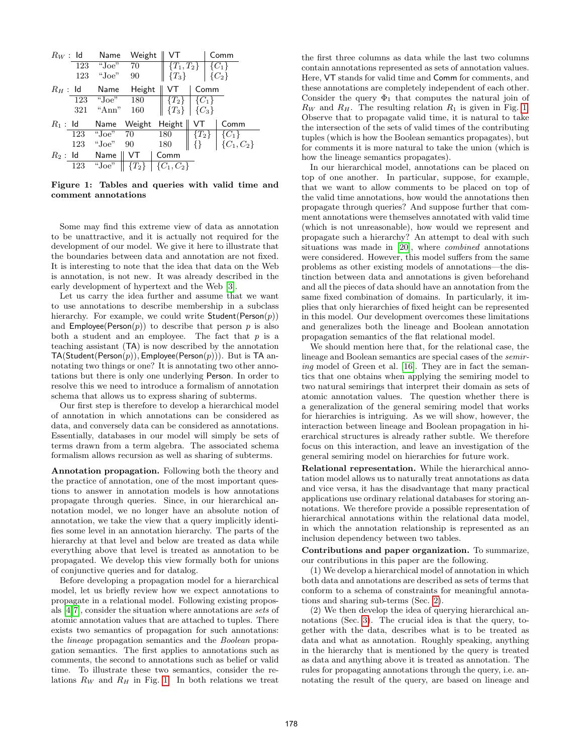

Figure 1: Tables and queries with valid time and comment annotations

Some may find this extreme view of data as annotation to be unattractive, and it is actually not required for the development of our model. We give it here to illustrate that the boundaries between data and annotation are not fixed. It is interesting to note that the idea that data on the Web is annotation, is not new. It was already described in the early development of hypertext and the Web [3].

Let us carry the idea further and assume that we want to use annotations to describe membership in a subclass hierarchy. For example, we could write  $Student(Person(p))$ and  $Employee(Person(p))$  to describe that person p is also both a student and an employee. The fact that  $p$  is a teaching assistant (TA) is now described by the annotation  $TA(Student(Person(p)), Employee(Person(p))).$  But is TA annotating two things or one? It is annotating two other annotations but there is only one underlying Person. In order to resolve this we need to introduce a formalism of annotation schema that allows us to express sharing of subterms.

Our first step is therefore to develop a hierarchical model of annotation in which annotations can be considered as data, and conversely data can be considered as annotations. Essentially, databases in our model will simply be sets of terms drawn from a term algebra. The associated schema formalism allows recursion as well as sharing of subterms.

Annotation propagation. Following both the theory and the practice of annotation, one of the most important questions to answer in annotation models is how annotations propagate through queries. Since, in our hierarchical annotation model, we no longer have an absolute notion of annotation, we take the view that a query implicitly identifies some level in an annotation hierarchy. The parts of the hierarchy at that level and below are treated as data while everything above that level is treated as annotation to be propagated. We develop this view formally both for unions of conjunctive queries and for datalog.

Before developing a propagation model for a hierarchical model, let us briefly review how we expect annotations to propagate in a relational model. Following existing proposals [4,7], consider the situation where annotations are sets of atomic annotation values that are attached to tuples. There exists two semantics of propagation for such annotations: the lineage propagation semantics and the Boolean propagation semantics. The first applies to annotations such as comments, the second to annotations such as belief or valid time. To illustrate these two semantics, consider the relations  $R_W$  and  $R_H$  in Fig. 1. In both relations we treat

the first three columns as data while the last two columns contain annotations represented as sets of annotation values. Here, VT stands for valid time and Comm for comments, and these annotations are completely independent of each other. Consider the query  $\Phi_1$  that computes the natural join of  $R_W$  and  $R_H$ . The resulting relation  $R_1$  is given in Fig. 1. Observe that to propagate valid time, it is natural to take the intersection of the sets of valid times of the contributing tuples (which is how the Boolean semantics propagates), but for comments it is more natural to take the union (which is how the lineage semantics propagates).

In our hierarchical model, annotations can be placed on top of one another. In particular, suppose, for example, that we want to allow comments to be placed on top of the valid time annotations, how would the annotations then propagate through queries? And suppose further that comment annotations were themselves annotated with valid time (which is not unreasonable), how would we represent and propagate such a hierarchy? An attempt to deal with such situations was made in [20], where combined annotations were considered. However, this model suffers from the same problems as other existing models of annotations—the distinction between data and annotations is given beforehand and all the pieces of data should have an annotation from the same fixed combination of domains. In particularly, it implies that only hierarchies of fixed height can be represented in this model. Our development overcomes these limitations and generalizes both the lineage and Boolean annotation propagation semantics of the flat relational model.

We should mention here that, for the relational case, the lineage and Boolean semantics are special cases of the semiring model of Green et al. [16]. They are in fact the semantics that one obtains when applying the semiring model to two natural semirings that interpret their domain as sets of atomic annotation values. The question whether there is a generalization of the general semiring model that works for hierarchies is intriguing. As we will show, however, the interaction between lineage and Boolean propagation in hierarchical structures is already rather subtle. We therefore focus on this interaction, and leave an investigation of the general semiring model on hierarchies for future work.

Relational representation. While the hierarchical annotation model allows us to naturally treat annotations as data and vice versa, it has the disadvantage that many practical applications use ordinary relational databases for storing annotations. We therefore provide a possible representation of hierarchical annotations within the relational data model, in which the annotation relationship is represented as an inclusion dependency between two tables.

Contributions and paper organization. To summarize, our contributions in this paper are the following.

(1) We develop a hierarchical model of annotation in which both data and annotations are described as sets of terms that conform to a schema of constraints for meaningful annotations and sharing sub-terms (Sec. 2).

(2) We then develop the idea of querying hierarchical annotations (Sec. 3). The crucial idea is that the query, together with the data, describes what is to be treated as data and what as annotation. Roughly speaking, anything in the hierarchy that is mentioned by the query is treated as data and anything above it is treated as annotation. The rules for propagating annotations through the query, i.e. annotating the result of the query, are based on lineage and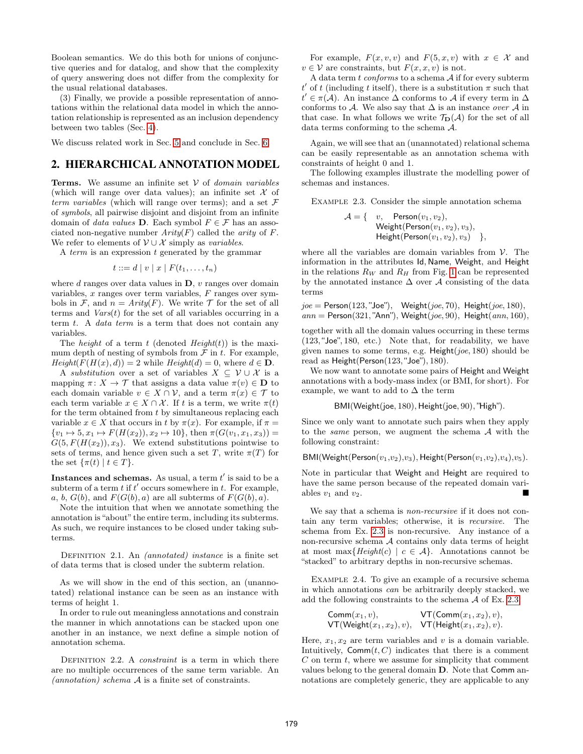Boolean semantics. We do this both for unions of conjunctive queries and for datalog, and show that the complexity of query answering does not differ from the complexity for the usual relational databases.

(3) Finally, we provide a possible representation of annotations within the relational data model in which the annotation relationship is represented as an inclusion dependency between two tables (Sec. 4).

We discuss related work in Sec. 5 and conclude in Sec. 6.

## 2. HIERARCHICAL ANNOTATION MODEL

**Terms.** We assume an infinite set  $V$  of *domain variables* (which will range over data values); an infinite set  $X$  of term variables (which will range over terms); and a set  $\mathcal F$ of symbols, all pairwise disjoint and disjoint from an infinite domain of *data values* **D**. Each symbol  $F \in \mathcal{F}$  has an associated non-negative number  $Arity(F)$  called the *arity* of F. We refer to elements of  $\mathcal{V} \cup \mathcal{X}$  simply as variables.

A term is an expression t generated by the grammar

$$
t ::= d \mid v \mid x \mid F(t_1, \ldots, t_n)
$$

where  $d$  ranges over data values in  $D$ ,  $v$  ranges over domain variables,  $x$  ranges over term variables,  $F$  ranges over symbols in F, and  $n = Arity(F)$ . We write T for the set of all terms and  $Vars(t)$  for the set of all variables occurring in a term  $t$ . A *data term* is a term that does not contain any variables.

The *height* of a term t (denoted  $Height(t)$ ) is the maximum depth of nesting of symbols from  $\mathcal F$  in  $t$ . For example,  $Height(F(H(x), d)) = 2$  while  $Height(d) = 0$ , where  $d \in \mathbf{D}$ .

A *substitution* over a set of variables  $X \subseteq V \cup \mathcal{X}$  is a mapping  $\pi: X \to \mathcal{T}$  that assigns a data value  $\pi(v) \in \mathbf{D}$  to each domain variable  $v \in X \cap V$ , and a term  $\pi(x) \in \mathcal{T}$  to each term variable  $x \in X \cap X$ . If t is a term, we write  $\pi(t)$ for the term obtained from  $t$  by simultaneous replacing each variable  $x \in X$  that occurs in t by  $\pi(x)$ . For example, if  $\pi =$  $\{v_1 \mapsto 5, x_1 \mapsto F(H(x_2)), x_2 \mapsto 10\}$ , then  $\pi(G(v_1, x_1, x_3)) =$  $G(5, F(H(x_2)), x_3)$ . We extend substitutions pointwise to sets of terms, and hence given such a set T, write  $\pi(T)$  for the set  $\{\pi(t) \mid t \in T\}.$ 

Instances and schemas. As usual, a term  $t'$  is said to be a subterm of a term  $t$  if  $t'$  occurs somewhere in  $t$ . For example, a, b,  $G(b)$ , and  $F(G(b), a)$  are all subterms of  $F(G(b), a)$ .

Note the intuition that when we annotate something the annotation is "about" the entire term, including its subterms. As such, we require instances to be closed under taking subterms.

DEFINITION 2.1. An *(annotated)* instance is a finite set of data terms that is closed under the subterm relation.

As we will show in the end of this section, an (unannotated) relational instance can be seen as an instance with terms of height 1.

In order to rule out meaningless annotations and constrain the manner in which annotations can be stacked upon one another in an instance, we next define a simple notion of annotation schema.

DEFINITION 2.2. A *constraint* is a term in which there are no multiple occurrences of the same term variable. An  $(annotation)$  schema  $A$  is a finite set of constraints.

For example,  $F(x, v, v)$  and  $F(5, x, v)$  with  $x \in \mathcal{X}$  and  $v \in V$  are constraints, but  $F(x, x, v)$  is not.

A data term  $t$  conforms to a schema  $A$  if for every subterm t' of t (including t itself), there is a substitution  $\pi$  such that  $t' \in \pi(\mathcal{A})$ . An instance  $\Delta$  conforms to  $\mathcal{A}$  if every term in  $\Delta$ conforms to A. We also say that  $\Delta$  is an instance *over* A in that case. In what follows we write  $\mathcal{T}_{\mathbf{D}}(\mathcal{A})$  for the set of all data terms conforming to the schema A.

Again, we will see that an (unannotated) relational schema can be easily representable as an annotation schema with constraints of height 0 and 1.

The following examples illustrate the modelling power of schemas and instances.

Example 2.3. Consider the simple annotation schema

$$
\mathcal{A} = \{ \quad v, \quad \text{Person}(v_1, v_2), \\ \text{Weight}(\text{Person}(v_1, v_2), v_3), \\ \text{Height}(\text{Person}(v_1, v_2), v_3) \quad \},
$$

where all the variables are domain variables from  $V$ . The information in the attributes Id, Name, Weight, and Height in the relations  $R_W$  and  $R_H$  from Fig. 1 can be represented by the annotated instance  $\Delta$  over A consisting of the data terms

$$
joe = Person(123, "Joe"), Weight(joe, 70), Height(joe, 180), ann = Person(321, "Ann"), Weight(joe, 90), Height(ann, 160),
$$

together with all the domain values occurring in these terms (123,"Joe", 180, etc.) Note that, for readability, we have given names to some terms, e.g.  $Height(joe, 180)$  should be read as Height(Person(123,"Joe"), 180).

We now want to annotate some pairs of Height and Weight annotations with a body-mass index (or BMI, for short). For example, we want to add to  $\Delta$  the term

```
BMI(Weight(joe, 180), Height(joe, 90), "High").
```
Since we only want to annotate such pairs when they apply to the *same* person, we augment the schema  $A$  with the following constraint:

BMI(Weight(Person $(v_1,v_2),v_3$ ), Height(Person $(v_1,v_2),v_4$ ), $v_5$ ).

Note in particular that Weight and Height are required to have the same person because of the repeated domain variables  $v_1$  and  $v_2$ .

We say that a schema is non-recursive if it does not contain any term variables; otherwise, it is recursive. The schema from Ex. 2.3 is non-recursive. Any instance of a non-recursive schema A contains only data terms of height at most max ${Height(c) | c \in \mathcal{A}}$ . Annotations cannot be "stacked" to arbitrary depths in non-recursive schemas.

Example 2.4. To give an example of a recursive schema in which annotations can be arbitrarily deeply stacked, we add the following constraints to the schema  $\mathcal A$  of Ex. 2.3:

$$
Comm(x_1, v), \qquad \text{VT}(\text{Comm}(x_1, x_2), v), \\ \text{VT}(\text{Weight}(x_1, x_2), v), \quad \text{VT}(\text{Height}(x_1, x_2), v).
$$

Here,  $x_1, x_2$  are term variables and v is a domain variable. Intuitively,  $\mathsf{Comm}(t, C)$  indicates that there is a comment  $C$  on term  $t$ , where we assume for simplicity that comment values belong to the general domain D. Note that Comm annotations are completely generic, they are applicable to any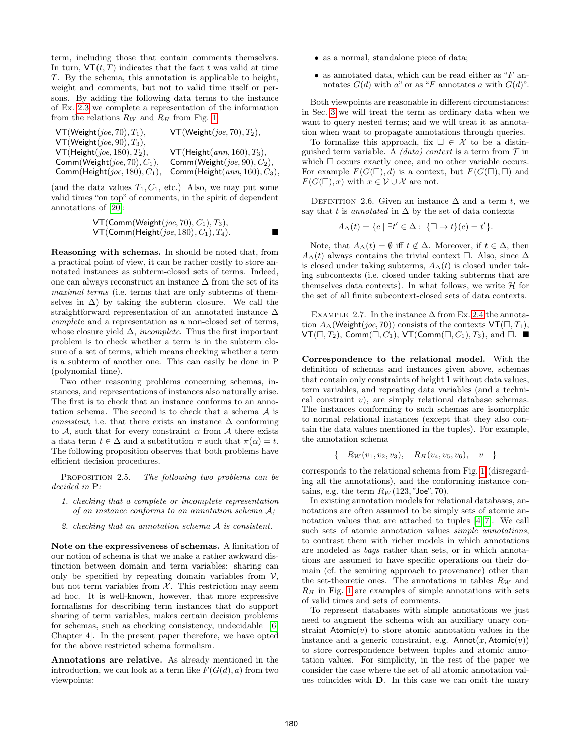term, including those that contain comments themselves. In turn,  $\mathsf{VT}(t,T)$  indicates that the fact t was valid at time T. By the schema, this annotation is applicable to height, weight and comments, but not to valid time itself or persons. By adding the following data terms to the instance of Ex. 2.3 we complete a representation of the information from the relations  $R_W$  and  $R_H$  from Fig. 1:

| $VT(Weight(joe, 70), T_1),$        | $VT(Weight(joe, 70), T_2),$        |
|------------------------------------|------------------------------------|
| $VT(Weight(joe, 90), T_3),$        |                                    |
| $VT(Height(joe, 180), T_2),$       | $VT(Height(ann, 160), T_3),$       |
| Comm(Weight( $joe$ , 70), $C_1$ ), | Comm(Weight( $joe$ , 90), $C_2$ ), |
| Comm(Height(joe, 180), $C_1$ ),    | Comm(Height $(ann, 160), C_3$ ),   |

(and the data values  $T_1, C_1$ , etc.) Also, we may put some valid times "on top" of comments, in the spirit of dependent annotations of [20]:

$$
VT(Comm(Weight(joe, 70), C_1), T_3),VT(Comm(Height(joe, 180), C_1), T_4).
$$

Reasoning with schemas. In should be noted that, from a practical point of view, it can be rather costly to store annotated instances as subterm-closed sets of terms. Indeed, one can always reconstruct an instance  $\Delta$  from the set of its maximal terms (i.e. terms that are only subterms of themselves in  $\Delta$ ) by taking the subterm closure. We call the straightforward representation of an annotated instance ∆ complete and a representation as a non-closed set of terms, whose closure yield  $\Delta$ , *incomplete*. Thus the first important problem is to check whether a term is in the subterm closure of a set of terms, which means checking whether a term is a subterm of another one. This can easily be done in P (polynomial time).

Two other reasoning problems concerning schemas, instances, and representations of instances also naturally arise. The first is to check that an instance conforms to an annotation schema. The second is to check that a schema A is *consistent*, i.e. that there exists an instance  $\Delta$  conforming to A, such that for every constraint  $\alpha$  from A there exists a data term  $t \in \Delta$  and a substitution  $\pi$  such that  $\pi(\alpha) = t$ . The following proposition observes that both problems have efficient decision procedures.

PROPOSITION 2.5. The following two problems can be decided in P:

- 1. checking that a complete or incomplete representation of an instance conforms to an annotation schema A;
- 2. checking that an annotation schema A is consistent.

Note on the expressiveness of schemas. A limitation of our notion of schema is that we make a rather awkward distinction between domain and term variables: sharing can only be specified by repeating domain variables from  $V$ , but not term variables from  $X$ . This restriction may seem ad hoc. It is well-known, however, that more expressive formalisms for describing term instances that do support sharing of term variables, makes certain decision problems for schemas, such as checking consistency, undecidable [6, Chapter 4]. In the present paper therefore, we have opted for the above restricted schema formalism.

Annotations are relative. As already mentioned in the introduction, we can look at a term like  $F(G(d), a)$  from two viewpoints:

- as a normal, standalone piece of data;
- as annotated data, which can be read either as " $F$  annotates  $G(d)$  with a" or as "F annotates a with  $G(d)$ ".

Both viewpoints are reasonable in different circumstances: in Sec. 3 we will treat the term as ordinary data when we want to query nested terms; and we will treat it as annotation when want to propagate annotations through queries.

To formalize this approach, fix  $\Box \in \mathcal{X}$  to be a distinguished term variable. A *(data) context* is a term from  $\mathcal{T}$  in which  $\Box$  occurs exactly once, and no other variable occurs. For example  $F(G(\Box), d)$  is a context, but  $F(G(\Box), \Box)$  and  $F(G(\Box), x)$  with  $x \in V \cup \mathcal{X}$  are not.

DEFINITION 2.6. Given an instance  $\Delta$  and a term t, we say that t is annotated in  $\Delta$  by the set of data contexts

$$
A_{\Delta}(t) = \{c \mid \exists t' \in \Delta : \{\Box \mapsto t\}(c) = t'\}.
$$

Note, that  $A_{\Delta}(t) = \emptyset$  iff  $t \notin \Delta$ . Moreover, if  $t \in \Delta$ , then  $A_{\Delta}(t)$  always contains the trivial context  $\Box$ . Also, since  $\Delta$ is closed under taking subterms,  $A_{\Delta}(t)$  is closed under taking subcontexts (i.e. closed under taking subterms that are themselves data contexts). In what follows, we write  $\mathcal H$  for the set of all finite subcontext-closed sets of data contexts.

EXAMPLE 2.7. In the instance  $\Delta$  from Ex. 2.4 the annotation  $A_{\Delta}$ (Weight(*joe*, 70)) consists of the contexts  $VT(\Box, T_1)$ ,  $\mathsf{VT}(\square, T_2)$ , Comm $(\square, C_1)$ , VT(Comm $(\square, C_1)$ ,  $T_3$ ), and  $\square$ .

Correspondence to the relational model. With the definition of schemas and instances given above, schemas that contain only constraints of height 1 without data values, term variables, and repeating data variables (and a technical constraint v), are simply relational database schemas. The instances conforming to such schemas are isomorphic to normal relational instances (except that they also contain the data values mentioned in the tuples). For example, the annotation schema

$$
\{ R_W(v_1, v_2, v_3), \ R_H(v_4, v_5, v_6), \ v \}
$$

corresponds to the relational schema from Fig. 1 (disregarding all the annotations), and the conforming instance contains, e.g. the term  $R_W(123, "Joe", 70)$ .

In existing annotation models for relational databases, annotations are often assumed to be simply sets of atomic annotation values that are attached to tuples [4, 7]. We call such sets of atomic annotation values *simple annotations*, to contrast them with richer models in which annotations are modeled as bags rather than sets, or in which annotations are assumed to have specific operations on their domain (cf. the semiring approach to provenance) other than the set-theoretic ones. The annotations in tables  $R_W$  and  $R_H$  in Fig. 1 are examples of simple annotations with sets of valid times and sets of comments.

To represent databases with simple annotations we just need to augment the schema with an auxiliary unary constraint  $Atomic(v)$  to store atomic annotation values in the instance and a generic constraint, e.g.  $Annot(x, Atomic(v))$ to store correspondence between tuples and atomic annotation values. For simplicity, in the rest of the paper we consider the case where the set of all atomic annotation values coincides with D. In this case we can omit the unary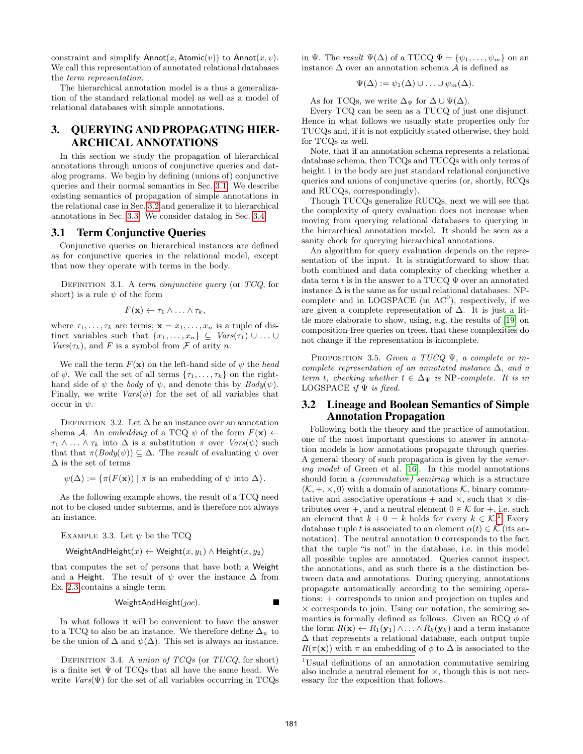constraint and simplify  $\text{Annot}(x, \text{Atomic}(v))$  to  $\text{Annot}(x, v)$ . We call this representation of annotated relational databases the term representation.

The hierarchical annotation model is a thus a generalization of the standard relational model as well as a model of relational databases with simple annotations.

# 3. QUERYING AND PROPAGATING HIER-ARCHICAL ANNOTATIONS

In this section we study the propagation of hierarchical annotations through unions of conjunctive queries and datalog programs. We begin by defining (unions of) conjunctive queries and their normal semantics in Sec. 3.1. We describe existing semantics of propagation of simple annotations in the relational case in Sec. 3.2 and generalize it to hierarchical annotations in Sec. 3.3. We consider datalog in Sec. 3.4.

#### 3.1 Term Conjunctive Queries

Conjunctive queries on hierarchical instances are defined as for conjunctive queries in the relational model, except that now they operate with terms in the body.

DEFINITION 3.1. A term conjunctive query (or  $TCQ$ , for short) is a rule  $\psi$  of the form

$$
F(\mathbf{x}) \leftarrow \tau_1 \wedge \ldots \wedge \tau_k,
$$

where  $\tau_1, \ldots, \tau_k$  are terms;  $\mathbf{x} = x_1, \ldots, x_n$  is a tuple of distinct variables such that  $\{x_1, \ldots, x_n\} \subseteq \text{Vars}(\tau_1) \cup \ldots \cup$  $Vars(\tau_k)$ , and F is a symbol from F of arity n.

We call the term  $F(\mathbf{x})$  on the left-hand side of  $\psi$  the head of  $\psi$ . We call the set of all terms  $\{\tau_1, \ldots, \tau_k\}$  on the righthand side of  $\psi$  the *body* of  $\psi$ , and denote this by  $Body(\psi)$ . Finally, we write  $Vars(\psi)$  for the set of all variables that occur in  $\psi$ .

DEFINITION 3.2. Let  $\Delta$  be an instance over an annotation shema A. An embedding of a TCQ  $\psi$  of the form  $F(\mathbf{x}) \leftarrow$  $\tau_1 \wedge \ldots \wedge \tau_k$  into  $\Delta$  is a substitution  $\pi$  over  $Vars(\psi)$  such that that  $\pi(Body(\psi)) \subseteq \Delta$ . The result of evaluating  $\psi$  over  $\Delta$  is the set of terms

 $\psi(\Delta) := {\pi(F(\mathbf{x})) \mid \pi \text{ is an embedding of } \psi \text{ into } \Delta}.$ 

As the following example shows, the result of a TCQ need not to be closed under subterms, and is therefore not always an instance.

EXAMPLE 3.3. Let 
$$
\psi
$$
 be the TCQ

WeightAndHeight $(x) \leftarrow$  Weight $(x, y_1) \wedge$  Height $(x, y_2)$ 

that computes the set of persons that have both a Weight and a Height. The result of  $\psi$  over the instance  $\Delta$  from Ex. 2.3 contains a single term

$$
\text{WeightAndHeight}(joe).
$$

In what follows it will be convenient to have the answer to a TCQ to also be an instance. We therefore define  $\Delta_{\psi}$  to be the union of  $\Delta$  and  $\psi(\Delta)$ . This set is always an instance.

DEFINITION 3.4. A union of  $TCQs$  (or  $TUCQ$ , for short) is a finite set  $\Psi$  of TCQs that all have the same head. We write  $Vars(\Psi)$  for the set of all variables occurring in TCQs in Ψ. The result  $\Psi(\Delta)$  of a TUCQ  $\Psi = {\psi_1, \ldots, \psi_m}$  on an instance ∆ over an annotation schema A is defined as

$$
\Psi(\Delta) := \psi_1(\Delta) \cup \ldots \cup \psi_m(\Delta).
$$

As for TCQs, we write  $\Delta_{\Psi}$  for  $\Delta \cup \Psi(\Delta)$ .

Every TCQ can be seen as a TUCQ of just one disjunct. Hence in what follows we usually state properties only for TUCQs and, if it is not explicitly stated otherwise, they hold for TCQs as well.

Note, that if an annotation schema represents a relational database schema, then TCQs and TUCQs with only terms of height 1 in the body are just standard relational conjunctive queries and unions of conjunctive queries (or, shortly, RCQs and RUCQs, correspondingly).

Though TUCQs generalize RUCQs, next we will see that the complexity of query evaluation does not increase when moving from querying relational databases to querying in the hierarchical annotation model. It should be seen as a sanity check for querying hierarchical annotations.

An algorithm for query evaluation depends on the representation of the input. It is straightforward to show that both combined and data complexity of checking whether a data term t is in the answer to a TUCQ  $\Psi$  over an annotated instance  $\Delta$  is the same as for usual relational databases: NPcomplete and in LOGSPACE (in  $AC<sup>0</sup>$ ), respectively, if we are given a complete representation of ∆. It is just a little more elaborate to show, using, e.g. the results of [19] on composition-free queries on trees, that these complexities do not change if the representation is incomplete.

PROPOSITION 3.5. Given a TUCQ  $\Psi$ , a complete or incomplete representation of an annotated instance  $\Delta$ , and a term t, checking whether  $t \in \Delta_{\Psi}$  is NP-complete. It is in LOGSPACE if  $\Psi$  is fixed.

#### 3.2 Lineage and Boolean Semantics of Simple Annotation Propagation

Following both the theory and the practice of annotation, one of the most important questions to answer in annotation models is how annotations propagate through queries. A general theory of such propagation is given by the semiring model of Green et al. [16]. In this model annotations should form a (commutative) semiring which is a structure  $\langle K, +, \times, 0 \rangle$  with a domain of annotations K, binary commutative and associative operations  $+$  and  $\times$ , such that  $\times$  distributes over +, and a neutral element  $0 \in \mathcal{K}$  for +, i.e. such an element that  $k + 0 = k$  holds for every  $k \in \mathcal{K}^1$ . Every database tuple t is associated to an element  $\alpha(t) \in \mathcal{K}$  (its annotation). The neutral annotation 0 corresponds to the fact that the tuple "is not" in the database, i.e. in this model all possible tuples are annotated. Queries cannot inspect the annotations, and as such there is a the distinction between data and annotations. During querying, annotations propagate automatically according to the semiring operations: + corresponds to union and projection on tuples and  $\times$  corresponds to join. Using our notation, the semiring semantics is formally defined as follows. Given an RCQ  $\phi$  of the form  $R(\mathbf{x}) \leftarrow R_1(\mathbf{y}_1) \wedge \ldots \wedge R_k(\mathbf{y}_k)$  and a term instance ∆ that represents a relational database, each output tuple  $R(\pi(\mathbf{x}))$  with  $\pi$  an embedding of  $\phi$  to  $\Delta$  is associated to the

<sup>1</sup>Usual definitions of an annotation commutative semiring also include a neutral element for  $\times$ , though this is not necessary for the exposition that follows.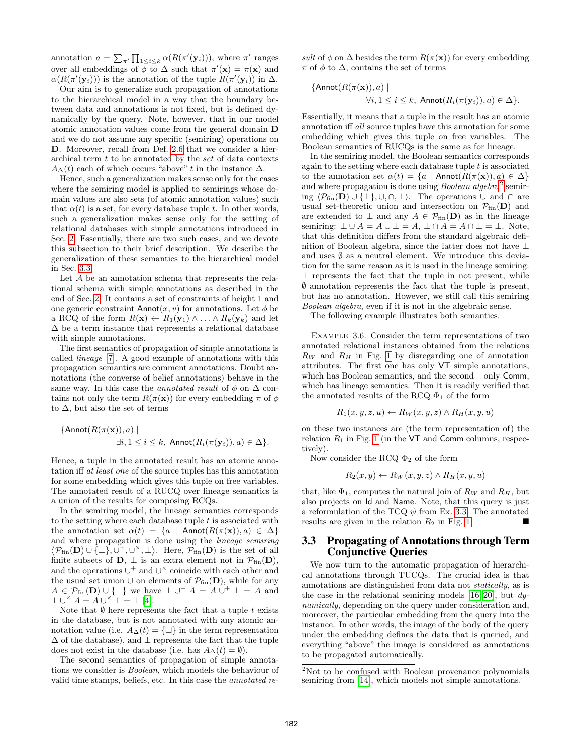annotation  $a = \sum_{\pi'} \prod_{1 \leq i \leq k} \alpha(R(\pi'(\mathbf{y}_i)))$ , where  $\pi'$  ranges over all embeddings of  $\bar{\phi}$  to  $\Delta$  such that  $\pi'(\mathbf{x}) = \pi(\mathbf{x})$  and  $\alpha(R(\pi'(\mathbf{y}_i)))$  is the annotation of the tuple  $R(\pi'(\mathbf{y}_i))$  in  $\Delta$ .

Our aim is to generalize such propagation of annotations to the hierarchical model in a way that the boundary between data and annotations is not fixed, but is defined dynamically by the query. Note, however, that in our model atomic annotation values come from the general domain D and we do not assume any specific (semiring) operations on D. Moreover, recall from Def. 2.6 that we consider a hierarchical term t to be annotated by the set of data contexts  $A_{\Delta}(t)$  each of which occurs "above" t in the instance  $\Delta$ .

Hence, such a generalization makes sense only for the cases where the semiring model is applied to semirings whose domain values are also sets (of atomic annotation values) such that  $\alpha(t)$  is a set, for every database tuple t. In other words, such a generalization makes sense only for the setting of relational databases with simple annotations introduced in Sec. 2. Essentially, there are two such cases, and we devote this subsection to their brief description. We describe the generalization of these semantics to the hierarchical model in Sec. 3.3.

Let  $A$  be an annotation schema that represents the relational schema with simple annotations as described in the end of Sec. 2. It contains a set of constraints of height 1 and one generic constraint  $\text{Annot}(x, v)$  for annotations. Let  $\phi$  be a RCQ of the form  $R(\mathbf{x}) \leftarrow R_1(\mathbf{y}_1) \wedge \ldots \wedge R_k(\mathbf{y}_k)$  and let  $\Delta$  be a term instance that represents a relational database with simple annotations.

The first semantics of propagation of simple annotations is called lineage [7]. A good example of annotations with this propagation semantics are comment annotations. Doubt annotations (the converse of belief annotations) behave in the same way. In this case the *annotated result* of  $\phi$  on  $\Delta$  contains not only the term  $R(\pi(\mathbf{x}))$  for every embedding  $\pi$  of  $\phi$ to  $\Delta$ , but also the set of terms

{Annot(
$$
R(\pi(\mathbf{x})), a
$$
) |  
 $\exists i, 1 \le i \le k$ , Annot( $R_i(\pi(\mathbf{y}_i)), a) \in \Delta$  }.

Hence, a tuple in the annotated result has an atomic annotation iff at least one of the source tuples has this annotation for some embedding which gives this tuple on free variables. The annotated result of a RUCQ over lineage semantics is a union of the results for composing RCQs.

In the semiring model, the lineage semantics corresponds to the setting where each database tuple  $t$  is associated with the annotation set  $\alpha(t) = \{a \mid \text{Annot}(R(\pi(\mathbf{x})), a) \in \Delta\}$ and where propagation is done using the lineage semiring  $\langle P_{fin}(\mathbf{D}) \cup \{\perp\}, \cup^+, \cup^{\times}, \perp \rangle$ . Here,  $\mathcal{P}_{fin}(\mathbf{D})$  is the set of all finite subsets of  $D$ ,  $\perp$  is an extra element not in  $\mathcal{P}_{fin}(D)$ , and the operations  $\cup^+$  and  $\cup^{\times}$  coincide with each other and the usual set union ∪ on elements of  $\mathcal{P}_{fin}(\mathbf{D})$ , while for any  $A \in \mathcal{P}_{fin}(\mathbf{D}) \cup \{\perp\}$  we have  $\perp \cup^+ A = A \cup^+ \perp = A$  and  $\perp \cup^{\times} A = A \cup^{\times} \perp = \perp [4].$ 

Note that  $\emptyset$  here represents the fact that a tuple t exists in the database, but is not annotated with any atomic annotation value (i.e.  $A_{\Delta}(t) = {\Box}$ ) in the term representation  $\Delta$  of the database), and  $\perp$  represents the fact that the tuple does not exist in the database (i.e. has  $A_{\Delta}(t) = \emptyset$ ).

The second semantics of propagation of simple annotations we consider is Boolean, which models the behaviour of valid time stamps, beliefs, etc. In this case the annotated re-

sult of  $\phi$  on  $\Delta$  besides the term  $R(\pi(\mathbf{x}))$  for every embedding  $\pi$  of  $\phi$  to  $\Delta$ , contains the set of terms

{Annot
$$
(R(\pi(\mathbf{x})), a)
$$
 |  
 $\forall i, 1 \leq i \leq k$ , Annot $(R_i(\pi(\mathbf{y}_i)), a) \in \Delta$  }.

Essentially, it means that a tuple in the result has an atomic annotation iff all source tuples have this annotation for some embedding which gives this tuple on free variables. The Boolean semantics of RUCQs is the same as for lineage.

In the semiring model, the Boolean semantics corresponds again to the setting where each database tuple  $t$  is associated to the annotation set  $\alpha(t) = \{a \mid \text{Annot}(R(\pi(\mathbf{x})), a) \in \Delta\}$ and where propagation is done using *Boolean algebra*<sup>2</sup> semiring  $\langle \mathcal{P}_{fin}(\mathbf{D}) \cup \{\perp\}, \cup, \cap, \perp \rangle$ . The operations  $\cup$  and  $\cap$  are usual set-theoretic union and intersection on  $\mathcal{P}_{fin}(\mathbf{D})$  and are extended to  $\perp$  and any  $A \in \mathcal{P}_{fin}(\mathbf{D})$  as in the lineage semiring:  $\bot \cup A = A \cup \bot = A$ ,  $\bot \cap A = A \cap \bot = \bot$ . Note, that this definition differs from the standard algebraic definition of Boolean algebra, since the latter does not have ⊥ and uses  $\emptyset$  as a neutral element. We introduce this deviation for the same reason as it is used in the lineage semiring:  $\perp$  represents the fact that the tuple in not present, while ∅ annotation represents the fact that the tuple is present, but has no annotation. However, we still call this semiring Boolean algebra, even if it is not in the algebraic sense.

The following example illustrates both semantics.

Example 3.6. Consider the term representations of two annotated relational instances obtained from the relations  $R_W$  and  $R_H$  in Fig. 1 by disregarding one of annotation attributes. The first one has only VT simple annotations, which has Boolean semantics, and the second – only Comm, which has lineage semantics. Then it is readily verified that the annotated results of the RCQ  $\Phi_1$  of the form

$$
R_1(x, y, z, u) \leftarrow R_W(x, y, z) \land R_H(x, y, u)
$$

on these two instances are (the term representation of) the relation  $R_1$  in Fig. 1 (in the VT and Comm columns, respectively).

Now consider the RCQ  $\Phi_2$  of the form

$$
R_2(x, y) \leftarrow R_W(x, y, z) \land R_H(x, y, u)
$$

that, like  $\Phi_1$ , computes the natural join of  $R_W$  and  $R_H$ , but also projects on Id and Name. Note, that this query is just a reformulation of the TCQ  $\psi$  from Ex. 3.3. The annotated results are given in the relation  $R_2$  in Fig. 1.

## 3.3 Propagating of Annotations through Term Conjunctive Queries

We now turn to the automatic propagation of hierarchical annotations through TUCQs. The crucial idea is that annotations are distinguished from data not statically, as is the case in the relational semiring models  $[16, 20]$ , but dynamically, depending on the query under consideration and, moreover, the particular embedding from the query into the instance. In other words, the image of the body of the query under the embedding defines the data that is queried, and everything "above" the image is considered as annotations to be propagated automatically.

<sup>&</sup>lt;sup>2</sup>Not to be confused with Boolean provenance polynomials semiring from [14], which models not simple annotations.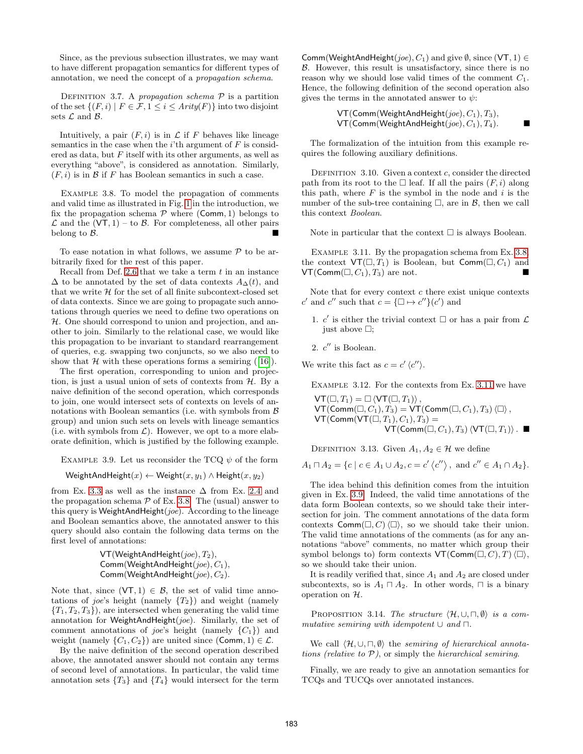Since, as the previous subsection illustrates, we may want to have different propagation semantics for different types of annotation, we need the concept of a propagation schema.

DEFINITION 3.7. A propagation schema  $P$  is a partition of the set  $\{(F, i) | F \in \mathcal{F}, 1 \leq i \leq Arity(F)\}\$ into two disjoint sets  $\mathcal L$  and  $\mathcal B$ .

Intuitively, a pair  $(F, i)$  is in  $\mathcal L$  if F behaves like lineage semantics in the case when the  $i$ <sup>th</sup> argument of  $F$  is considered as data, but  $F$  itself with its other arguments, as well as everything "above", is considered as annotation. Similarly,  $(F, i)$  is in  $\beta$  if F has Boolean semantics in such a case.

EXAMPLE 3.8. To model the propagation of comments and valid time as illustrated in Fig. 1 in the introduction, we fix the propagation schema  $P$  where (Comm, 1) belongs to  $\mathcal L$  and the  $(VT, 1)$  – to  $\mathcal B$ . For completeness, all other pairs belong to B.

To ease notation in what follows, we assume  $P$  to be arbitrarily fixed for the rest of this paper.

Recall from Def. 2.6 that we take a term  $t$  in an instance  $\Delta$  to be annotated by the set of data contexts  $A_{\Delta}(t)$ , and that we write  $H$  for the set of all finite subcontext-closed set of data contexts. Since we are going to propagate such annotations through queries we need to define two operations on H. One should correspond to union and projection, and another to join. Similarly to the relational case, we would like this propagation to be invariant to standard rearrangement of queries, e.g. swapping two conjuncts, so we also need to show that  $H$  with these operations forms a semiring ([16]).

The first operation, corresponding to union and projection, is just a usual union of sets of contexts from  $H$ . By a naive definition of the second operation, which corresponds to join, one would intersect sets of contexts on levels of annotations with Boolean semantics (i.e. with symbols from  $\beta$ group) and union such sets on levels with lineage semantics (i.e. with symbols from  $\mathcal{L}$ ). However, we opt to a more elaborate definition, which is justified by the following example.

EXAMPLE 3.9. Let us reconsider the TCQ  $\psi$  of the form

WeightAndHeight $(x) \leftarrow$  Weight $(x, y_1) \wedge$  Height $(x, y_2)$ 

from Ex. 3.3 as well as the instance  $\Delta$  from Ex. 2.4 and the propagation schema  $P$  of Ex. 3.8. The (usual) answer to this query is WeightAndHeight $(joe)$ . According to the lineage and Boolean semantics above, the annotated answer to this query should also contain the following data terms on the first level of annotations:

```
VT(WeighthandHeight(joe), T<sub>2</sub>),Comm(WeightAndHeight(joe), C_1),
Comm(WeightAndHeight(joe), C_2).
```
Note that, since  $(VT, 1) \in \mathcal{B}$ , the set of valid time annotations of *joe's* height (namely  ${T_2}$ ) and weight (namely  ${T_1, T_2, T_3}$ , are intersected when generating the valid time annotation for WeightAndHeight(joe). Similarly, the set of comment annotations of *joe*'s height (namely  $\{C_1\}$ ) and weight (namely  $\{C_1, C_2\}$ ) are united since (Comm, 1)  $\in \mathcal{L}$ .

By the naive definition of the second operation described above, the annotated answer should not contain any terms of second level of annotations. In particular, the valid time annotation sets  ${T_3}$  and  ${T_4}$  would intersect for the term Comm(WeightAndHeight( $joe$ ),  $C_1$ ) and give  $\emptyset$ , since (VT, 1)  $\in$ B. However, this result is unsatisfactory, since there is no reason why we should lose valid times of the comment  $C_1$ . Hence, the following definition of the second operation also gives the terms in the annotated answer to  $\psi$ :

| $VT(Comm(WeightAndHeight(joe), C_1), T_3),$ |  |
|---------------------------------------------|--|
| $VT(Comm(WeightAndHeight(joe), C_1), T_4).$ |  |

The formalization of the intuition from this example requires the following auxiliary definitions.

DEFINITION 3.10. Given a context  $c$ , consider the directed path from its root to the  $\Box$  leaf. If all the pairs  $(F, i)$  along this path, where  $F$  is the symbol in the node and  $i$  is the number of the sub-tree containing  $\Box$ , are in  $\mathcal{B}$ , then we call this context Boolean.

Note in particular that the context  $\Box$  is always Boolean.

Example 3.11. By the propagation schema from Ex. 3.8, the context  $\mathsf{VT}(\square, T_1)$  is Boolean, but  $\mathsf{Comm}(\square, C_1)$  and  $VT(Comm(\Box, C_1), T_3)$  are not.

Note that for every context  $c$  there exist unique contexts c' and c'' such that  $c = {\square \mapsto c''}(c')$  and

- 1. c' is either the trivial context  $\Box$  or has a pair from  $\mathcal L$ just above  $\Box$ ;
- 2.  $c''$  is Boolean.

We write this fact as  $c = c' \langle c'' \rangle$ .

Example 3.12. For the contexts from Ex. 3.11 we have

 $VT(\Box, T_1) = \Box \langle VT(\Box, T_1)\rangle$ ,  $\mathsf{VT}(\mathsf{Comm}(\Box, C_1), T_3) = \mathsf{VT}(\mathsf{Comm}(\Box, C_1), T_3)\langle \Box \rangle,$  $VT(Comm(VT(\Box, T_1), C_1), T_3) =$  $\mathsf{VT}(\mathsf{Comm}(\Box, C_1), T_3)\langle \mathsf{VT}(\Box, T_1)\rangle$ .

DEFINITION 3.13. Given  $A_1, A_2 \in \mathcal{H}$  we define

$$
A_1 \sqcap A_2 = \{c \mid c \in A_1 \cup A_2, c = c' \langle c'' \rangle, \text{ and } c'' \in A_1 \cap A_2\}.
$$

The idea behind this definition comes from the intuition given in Ex. 3.9. Indeed, the valid time annotations of the data form Boolean contexts, so we should take their intersection for join. The comment annotations of the data form contexts  $\mathsf{Comm}(\square, C)\langle \square \rangle$ , so we should take their union. The valid time annotations of the comments (as for any annotations "above" comments, no matter which group their symbol belongs to) form contexts  $VT(Comm(\Box, C), T)\langle \Box \rangle,$ so we should take their union.

It is readily verified that, since  $A_1$  and  $A_2$  are closed under subcontexts, so is  $A_1 \sqcap A_2$ . In other words,  $\sqcap$  is a binary operation on H.

PROPOSITION 3.14. The structure  $\langle \mathcal{H}, \cup, \sqcap, \emptyset \rangle$  is a commutative semiring with idempotent  $\cup$  and  $\Box$ .

We call  $\langle \mathcal{H}, \cup, \cap, \emptyset \rangle$  the semiring of hierarchical annotations (relative to  $P$ ), or simply the hierarchical semiring.

Finally, we are ready to give an annotation semantics for TCQs and TUCQs over annotated instances.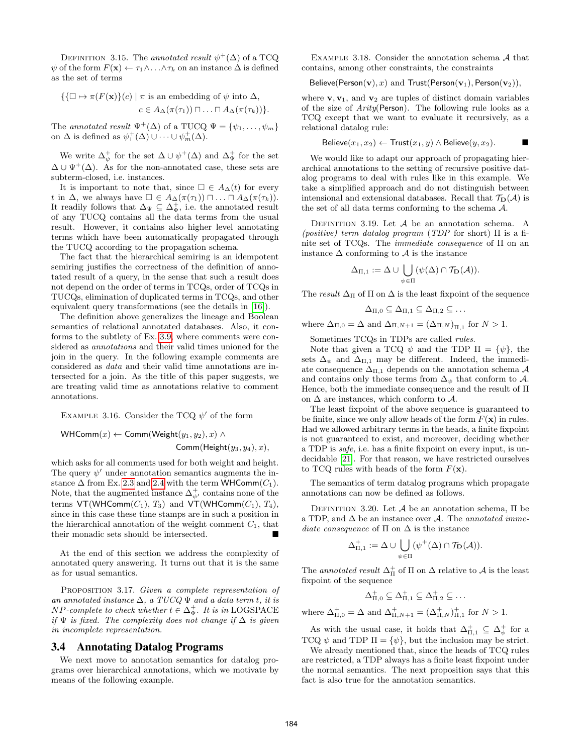DEFINITION 3.15. The annotated result  $\psi^+(\Delta)$  of a TCQ  $\psi$  of the form  $F(\mathbf{x}) \leftarrow \tau_1 \wedge \ldots \wedge \tau_k$  on an instance  $\Delta$  is defined as the set of terms

$$
\{\{\Box \mapsto \pi(F(\mathbf{x})\}(c) \mid \pi \text{ is an embedding of } \psi \text{ into } \Delta, \\c \in A_{\Delta}(\pi(\tau_1)) \sqcap \ldots \sqcap A_{\Delta}(\pi(\tau_k))\}.
$$

The annotated result  $\Psi^+(\Delta)$  of a TUCQ  $\Psi = {\psi_1, \ldots, \psi_m}$ on  $\Delta$  is defined as  $\psi_1^+(\Delta) \cup \cdots \cup \psi_m^+(\Delta)$ .

We write  $\Delta_{\psi}^{+}$  for the set  $\Delta \cup \psi^{+}(\Delta)$  and  $\Delta_{\Psi}^{+}$  for the set  $\Delta \cup \Psi^+(\Delta)$ . As for the non-annotated case, these sets are subterm-closed, i.e. instances.

It is important to note that, since  $\Box \in A_{\Delta}(t)$  for every t in  $\Delta$ , we always have  $\square \in A_{\Delta}(\pi(\tau_1)) \sqcap \ldots \sqcap A_{\Delta}(\pi(\tau_k)).$ It readily follows that  $\Delta_{\Psi} \subseteq \Delta_{\Psi}^+$ , i.e. the annotated result of any TUCQ contains all the data terms from the usual result. However, it contains also higher level annotating terms which have been automatically propagated through the TUCQ according to the propagation schema.

The fact that the hierarchical semiring is an idempotent semiring justifies the correctness of the definition of annotated result of a query, in the sense that such a result does not depend on the order of terms in TCQs, order of TCQs in TUCQs, elimination of duplicated terms in TCQs, and other equivalent query transformations (see the details in [16]).

The definition above generalizes the lineage and Boolean semantics of relational annotated databases. Also, it conforms to the subtlety of Ex. 3.9, where comments were considered as annotations and their valid times unioned for the join in the query. In the following example comments are considered as data and their valid time annotations are intersected for a join. As the title of this paper suggests, we are treating valid time as annotations relative to comment annotations.

EXAMPLE 3.16. Consider the TCQ  $\psi'$  of the form

WHComm $(x) \leftarrow$  Comm(Weight $(y_1, y_2), x$ ) ∧ Comm(Height $(y_3, y_4)$ , x),

which asks for all comments used for both weight and height. The query  $\psi'$  under annotation semantics augments the instance  $\Delta$  from Ex. 2.3 and 2.4 with the term WHComm $(C_1)$ . Note, that the augmented instance  $\Delta_{\psi'}^+$  contains none of the terms  $VT(WHComm(C_1), T_3)$  and  $VT(WHComm(C_1), T_4)$ , since in this case these time stamps are in such a position in the hierarchical annotation of the weight comment  $C_1$ , that their monadic sets should be intersected.

At the end of this section we address the complexity of annotated query answering. It turns out that it is the same as for usual semantics.

PROPOSITION 3.17. Given a complete representation of an annotated instance  $\Delta$ , a TUCQ  $\Psi$  and a data term t, it is  $NP\text{-}complete\ to\ check\ whether\ t \in \Delta^+_\Psi.\ It\ is\ in\ LOGSPACE$ if  $\Psi$  is fixed. The complexity does not change if  $\Delta$  is given in incomplete representation.

#### 3.4 Annotating Datalog Programs

We next move to annotation semantics for datalog programs over hierarchical annotations, which we motivate by means of the following example.

Example 3.18. Consider the annotation schema A that contains, among other constraints, the constraints

$$
Believe(Person(v), x) \text{ and Trust(Person(v1), Person(v2)),
$$

where  $\mathbf{v}, \mathbf{v}_1$ , and  $\mathbf{v}_2$  are tuples of distinct domain variables of the size of Arity(Person). The following rule looks as a TCQ except that we want to evaluate it recursively, as a relational datalog rule:

$$
Believe(x_1, x_2) \leftarrow Trust(x_1, y) \land Believe(y, x_2).
$$

We would like to adapt our approach of propagating hierarchical annotations to the setting of recursive positive datalog programs to deal with rules like in this example. We take a simplified approach and do not distinguish between intensional and extensional databases. Recall that  $\mathcal{T}_{\mathbf{D}}(\mathcal{A})$  is the set of all data terms conforming to the schema A.

DEFINITION 3.19. Let  $A$  be an annotation schema. A (positive) term datalog program (TDP for short)  $\Pi$  is a finite set of TCQs. The immediate consequence of Π on an instance  $\Delta$  conforming to  $\mathcal A$  is the instance

$$
\Delta_{\Pi,1}:=\Delta\cup\bigcup_{\psi\in\Pi}(\psi(\Delta)\cap\mathcal{T}_{\mathbf{D}}(\mathcal{A})).
$$

The result  $\Delta_{\Pi}$  of  $\Pi$  on  $\Delta$  is the least fixpoint of the sequence

$$
\Delta_{\Pi,0}\subseteq\Delta_{\Pi,1}\subseteq\Delta_{\Pi,2}\subseteq\ldots
$$

where  $\Delta_{\Pi,0} = \Delta$  and  $\Delta_{\Pi,N+1} = (\Delta_{\Pi,N})_{\Pi,1}$  for  $N > 1$ .

Sometimes TCQs in TDPs are called rules.

Note that given a TCQ  $\psi$  and the TDP  $\Pi = {\psi}$ , the sets  $\Delta_{\psi}$  and  $\Delta_{\Pi,1}$  may be different. Indeed, the immediate consequence  $\Delta_{\Pi,1}$  depends on the annotation schema A and contains only those terms from  $\Delta_{\psi}$  that conform to A. Hence, both the immediate consequence and the result of Π on  $\Delta$  are instances, which conform to  $\mathcal{A}$ .

The least fixpoint of the above sequence is guaranteed to be finite, since we only allow heads of the form  $F(\mathbf{x})$  in rules. Had we allowed arbitrary terms in the heads, a finite fixpoint is not guaranteed to exist, and moreover, deciding whether a TDP is safe, i.e. has a finite fixpoint on every input, is undecidable [21]. For that reason, we have restricted ourselves to TCQ rules with heads of the form  $F(\mathbf{x})$ .

The semantics of term datalog programs which propagate annotations can now be defined as follows.

DEFINITION 3.20. Let  $A$  be an annotation schema, Π be a TDP, and  $\Delta$  be an instance over A. The annotated immediate consequence of  $\Pi$  on  $\Delta$  is the instance

$$
\Delta_{\Pi,1}^+:=\Delta\cup\bigcup_{\psi\in\Pi}(\psi^+(\Delta)\cap\mathcal{T}_{\mathbf{D}}(\mathcal{A})).
$$

The annotated result  $\Delta_{\Pi}^+$  of  $\Pi$  on  $\Delta$  relative to  $\mathcal A$  is the least fixpoint of the sequence

$$
\Delta_{\Pi,0}^+\subseteq \Delta_{\Pi,1}^+\subseteq \Delta_{\Pi,2}^+\subseteq \ldots
$$

where  $\Delta_{\Pi,0}^+ = \Delta$  and  $\Delta_{\Pi,N+1}^+ = (\Delta_{\Pi,N}^+)^+_{\Pi,1}$  for  $N > 1$ .

As with the usual case, it holds that  $\Delta_{\Pi,1}^+ \subseteq \Delta_{\psi}^+$  for a TCQ  $\psi$  and TDP  $\Pi = {\psi}$ , but the inclusion may be strict.

We already mentioned that, since the heads of TCQ rules are restricted, a TDP always has a finite least fixpoint under the normal semantics. The next proposition says that this fact is also true for the annotation semantics.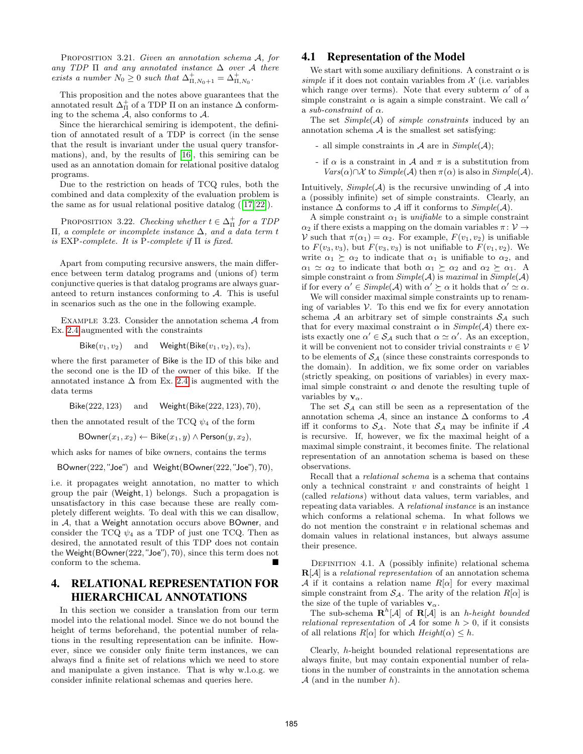PROPOSITION 3.21. Given an annotation schema A, for any TDP  $\Pi$  and any annotated instance  $\Delta$  over A there exists a number  $N_0 \geq 0$  such that  $\Delta_{\Pi,N_0+1}^+ = \Delta_{\Pi,N_0}^+$ .

This proposition and the notes above guarantees that the annotated result  $\Delta^+_{\Pi}$  of a TDP  $\Pi$  on an instance  $\Delta$  conforming to the schema  $A$ , also conforms to  $A$ .

Since the hierarchical semiring is idempotent, the definition of annotated result of a TDP is correct (in the sense that the result is invariant under the usual query transformations), and, by the results of [16], this semiring can be used as an annotation domain for relational positive datalog programs.

Due to the restriction on heads of TCQ rules, both the combined and data complexity of the evaluation problem is the same as for usual relational positive datalog ([17, 22]).

PROPOSITION 3.22. Checking whether  $t \in \Delta_{\Pi}^{+}$  for a TDP Π, a complete or incomplete instance ∆, and a data term t is EXP-complete. It is P-complete if  $\Pi$  is fixed.

Apart from computing recursive answers, the main difference between term datalog programs and (unions of) term conjunctive queries is that datalog programs are always guaranteed to return instances conforming to  $A$ . This is useful in scenarios such as the one in the following example.

Example 3.23. Consider the annotation schema A from Ex. 2.4 augmented with the constraints

Bike $(v_1, v_2)$  and Weight(Bike $(v_1, v_2), v_3$ ),

where the first parameter of Bike is the ID of this bike and the second one is the ID of the owner of this bike. If the annotated instance  $\Delta$  from Ex. 2.4 is augmented with the data terms

Bike(222, 123) and Weight(Bike(222, 123), 70),

then the annotated result of the TCQ  $\psi_4$  of the form

BOwner $(x_1, x_2) \leftarrow$  Bike $(x_1, y) \wedge$  Person $(y, x_2)$ ,

which asks for names of bike owners, contains the terms

BOwner(222, "Joe") and Weight(BOwner(222, "Joe"), 70),

i.e. it propagates weight annotation, no matter to which group the pair (Weight, 1) belongs. Such a propagation is unsatisfactory in this case because these are really completely different weights. To deal with this we can disallow, in A, that a Weight annotation occurs above BOwner, and consider the TCQ  $\psi_4$  as a TDP of just one TCQ. Then as desired, the annotated result of this TDP does not contain the Weight(BOwner(222, "Joe"), 70), since this term does not conform to the schema.

# 4. RELATIONAL REPRESENTATION FOR HIERARCHICAL ANNOTATIONS

In this section we consider a translation from our term model into the relational model. Since we do not bound the height of terms beforehand, the potential number of relations in the resulting representation can be infinite. However, since we consider only finite term instances, we can always find a finite set of relations which we need to store and manipulate a given instance. That is why w.l.o.g. we consider infinite relational schemas and queries here.

#### 4.1 Representation of the Model

We start with some auxiliary definitions. A constraint  $\alpha$  is simple if it does not contain variables from  $\mathcal X$  (i.e. variables which range over terms). Note that every subterm  $\alpha'$  of a simple constraint  $\alpha$  is again a simple constraint. We call  $\alpha'$ a sub-constraint of  $\alpha$ .

The set  $Simple(\mathcal{A})$  of simple constraints induced by an annotation schema  $A$  is the smallest set satisfying:

- all simple constraints in  $A$  are in  $Simple(A);$
- if  $\alpha$  is a constraint in  $\mathcal A$  and  $\pi$  is a substitution from  $Vars(\alpha) \cap \mathcal{X}$  to  $Simple(\mathcal{A})$  then  $\pi(\alpha)$  is also in  $Simple(\mathcal{A})$ .

Intuitively,  $Simple(A)$  is the recursive unwinding of A into a (possibly infinite) set of simple constraints. Clearly, an instance  $\Delta$  conforms to  $\mathcal A$  iff it conforms to  $Simple(\mathcal A)$ .

A simple constraint  $\alpha_1$  is *unifiable* to a simple constraint  $\alpha_2$  if there exists a mapping on the domain variables  $\pi: \mathcal{V} \rightarrow$ V such that  $\pi(\alpha_1) = \alpha_2$ . For example,  $F(v_1, v_2)$  is unifiable to  $F(v_3, v_3)$ , but  $F(v_3, v_3)$  is not unifiable to  $F(v_1, v_2)$ . We write  $\alpha_1 \succeq \alpha_2$  to indicate that  $\alpha_1$  is unifiable to  $\alpha_2$ , and  $\alpha_1 \simeq \alpha_2$  to indicate that both  $\alpha_1 \succeq \alpha_2$  and  $\alpha_2 \succeq \alpha_1$ . A simple constraint  $\alpha$  from  $Simple(\mathcal{A})$  is maximal in  $Simple(\mathcal{A})$ if for every  $\alpha' \in Simple(\mathcal{A})$  with  $\alpha' \succeq \alpha$  it holds that  $\alpha' \simeq \alpha$ .

We will consider maximal simple constraints up to renaming of variables  $V$ . To this end we fix for every annotation schema A an arbitrary set of simple constraints  $S_A$  such that for every maximal constraint  $\alpha$  in  $Simple(\mathcal{A})$  there exists exactly one  $\alpha' \in S_{\mathcal{A}}$  such that  $\alpha \simeq \alpha'$ . As an exception, it will be convenient not to consider trivial constraints  $v \in V$ to be elements of  $S_A$  (since these constraints corresponds to the domain). In addition, we fix some order on variables (strictly speaking, on positions of variables) in every maximal simple constraint  $\alpha$  and denote the resulting tuple of variables by  $\mathbf{v}_{\alpha}$ .

The set  $S_A$  can still be seen as a representation of the annotation schema A, since an instance  $\Delta$  conforms to A iff it conforms to  $S_A$ . Note that  $S_A$  may be infinite if A is recursive. If, however, we fix the maximal height of a maximal simple constraint, it becomes finite. The relational representation of an annotation schema is based on these observations.

Recall that a relational schema is a schema that contains only a technical constraint  $v$  and constraints of height 1 (called relations) without data values, term variables, and repeating data variables. A relational instance is an instance which conforms a relational schema. In what follows we do not mention the constraint  $v$  in relational schemas and domain values in relational instances, but always assume their presence.

DEFINITION 4.1. A (possibly infinite) relational schema  $\mathbf{R}[\mathcal{A}]$  is a *relational representation* of an annotation schema A if it contains a relation name  $R[\alpha]$  for every maximal simple constraint from  $S_A$ . The arity of the relation  $R[\alpha]$  is the size of the tuple of variables  $v_\alpha$ .

The sub-schema  $\mathbf{R}^h[\mathcal{A}]$  of  $\mathbf{R}[\mathcal{A}]$  is an *h-height bounded* relational representation of A for some  $h > 0$ , if it consists of all relations  $R[\alpha]$  for which  $Height(\alpha) \leq h$ .

Clearly, h-height bounded relational representations are always finite, but may contain exponential number of relations in the number of constraints in the annotation schema  $A$  (and in the number h).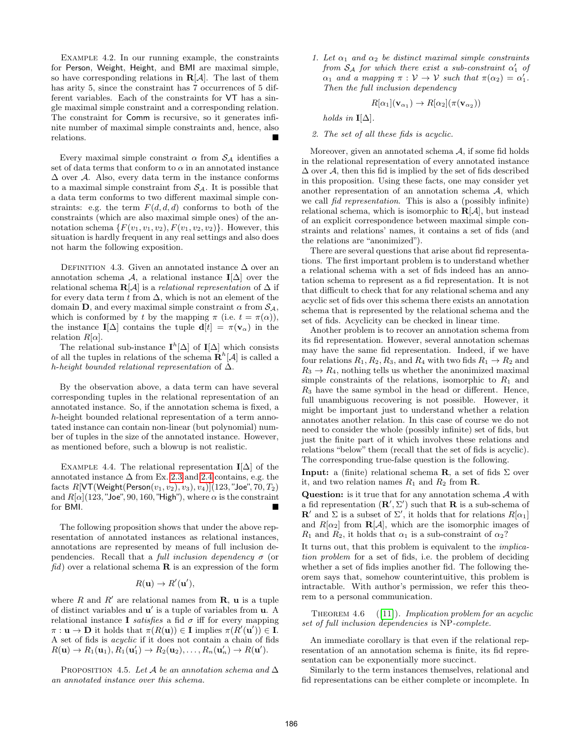EXAMPLE  $4.2$ . In our running example, the constraints for Person, Weight, Height, and BMI are maximal simple, so have corresponding relations in  $R[A]$ . The last of them has arity 5, since the constraint has 7 occurrences of 5 different variables. Each of the constraints for VT has a single maximal simple constraint and a corresponding relation. The constraint for Comm is recursive, so it generates infinite number of maximal simple constraints and, hence, also relations.

Every maximal simple constraint  $\alpha$  from  $S_A$  identifies a set of data terms that conform to  $\alpha$  in an annotated instance  $\Delta$  over A. Also, every data term in the instance conforms to a maximal simple constraint from  $S_A$ . It is possible that a data term conforms to two different maximal simple constraints: e.g. the term  $F(d, d, d)$  conforms to both of the constraints (which are also maximal simple ones) of the annotation schema  $\{F(v_1, v_1, v_2), F(v_1, v_2, v_2)\}.$  However, this situation is hardly frequent in any real settings and also does not harm the following exposition.

DEFINITION 4.3. Given an annotated instance  $\Delta$  over an annotation schema  $\mathcal{A}$ , a relational instance **I**[ $\Delta$ ] over the relational schema  $\mathbf{R}[\mathcal{A}]$  is a *relational representation* of  $\Delta$  if for every data term t from  $\Delta$ , which is not an element of the domain **D**, and every maximal simple constraint  $\alpha$  from  $S_A$ , which is conformed by t by the mapping  $\pi$  (i.e.  $t = \pi(\alpha)$ ), the instance  $I[\Delta]$  contains the tuple  $\mathbf{d}[t] = \pi(\mathbf{v}_{\alpha})$  in the relation  $R[\alpha]$ .

The relational sub-instance  $I^h[\Delta]$  of  $I[\Delta]$  which consists of all the tuples in relations of the schema  $\mathbf{R}^h[\mathcal{A}]$  is called a h-height bounded relational representation of ∆.

By the observation above, a data term can have several corresponding tuples in the relational representation of an annotated instance. So, if the annotation schema is fixed, a h-height bounded relational representation of a term annotated instance can contain non-linear (but polynomial) number of tuples in the size of the annotated instance. However, as mentioned before, such a blowup is not realistic.

EXAMPLE 4.4. The relational representation I[ $\Delta$ ] of the annotated instance  $\Delta$  from Ex. 2.3 and 2.4 contains, e.g. the facts  $R[\text{VT}(\text{Weight}(\text{Person}(v_1, v_2), v_3), v_4)](123, "Joe", 70, T_2)]$ and  $R[\alpha]$ (123, "Joe", 90, 160, "High"), where  $\alpha$  is the constraint for BMI.

The following proposition shows that under the above representation of annotated instances as relational instances, annotations are represented by means of full inclusion dependencies. Recall that a *full inclusion dependency*  $\sigma$  (or  $fd$ ) over a relational schema **R** is an expression of the form

$$
R(\mathbf{u}) \to R'(\mathbf{u}'),
$$

where R and R' are relational names from  $\mathbf{R}$ ,  $\mathbf{u}$  is a tuple of distinct variables and  $\mathbf{u}'$  is a tuple of variables from  $\mathbf{u}$ . A relational instance I *satisfies* a fid  $\sigma$  iff for every mapping  $\pi: \mathbf{u} \to \mathbf{D}$  it holds that  $\pi(R(\mathbf{u})) \in \mathbf{I}$  implies  $\pi(R'(\mathbf{u}')) \in \mathbf{I}$ . A set of fids is acyclic if it does not contain a chain of fids  $R(\mathbf{u}) \to R_1(\mathbf{u}_1), R_1(\mathbf{u}'_1) \to R_2(\mathbf{u}_2), \dots, R_n(\mathbf{u}'_n) \to R(\mathbf{u}').$ 

PROPOSITION 4.5. Let A be an annotation schema and  $\Delta$ an annotated instance over this schema.

1. Let  $\alpha_1$  and  $\alpha_2$  be distinct maximal simple constraints from  $S_A$  for which there exist a sub-constraint  $\alpha'_1$  of  $\alpha_1$  and a mapping  $\pi : \mathcal{V} \to \mathcal{V}$  such that  $\pi(\alpha_2) = \alpha'_1$ . Then the full inclusion dependency

$$
R[\alpha_1](\mathbf{v}_{\alpha_1}) \to R[\alpha_2](\pi(\mathbf{v}_{\alpha_2}))
$$

holds in  $\mathbf{I}[\Delta]$ .

2. The set of all these fids is acyclic.

Moreover, given an annotated schema  $A$ , if some fid holds in the relational representation of every annotated instance  $\Delta$  over A, then this fid is implied by the set of fids described in this proposition. Using these facts, one may consider yet another representation of an annotation schema A, which we call fid representation. This is also a (possibly infinite) relational schema, which is isomorphic to  $R[\mathcal{A}]$ , but instead of an explicit correspondence between maximal simple constraints and relations' names, it contains a set of fids (and the relations are "anonimized").

There are several questions that arise about fid representations. The first important problem is to understand whether a relational schema with a set of fids indeed has an annotation schema to represent as a fid representation. It is not that difficult to check that for any relational schema and any acyclic set of fids over this schema there exists an annotation schema that is represented by the relational schema and the set of fids. Acyclicity can be checked in linear time.

Another problem is to recover an annotation schema from its fid representation. However, several annotation schemas may have the same fid representation. Indeed, if we have four relations  $R_1, R_2, R_3$ , and  $R_4$  with two fids  $R_1 \rightarrow R_2$  and  $R_3 \rightarrow R_4$ , nothing tells us whether the anonimized maximal simple constraints of the relations, isomorphic to  $R_1$  and  $R_3$  have the same symbol in the head or different. Hence, full unambiguous recovering is not possible. However, it might be important just to understand whether a relation annotates another relation. In this case of course we do not need to consider the whole (possibly infinite) set of fids, but just the finite part of it which involves these relations and relations "below" them (recall that the set of fids is acyclic). The corresponding true-false question is the following.

**Input:** a (finite) relational schema **R**, a set of fids  $\Sigma$  over it, and two relation names  $R_1$  and  $R_2$  from **R**.

**Question:** is it true that for any annotation schema  $\mathcal{A}$  with a fid representation  $(\mathbf{R}', \Sigma')$  such that **R** is a sub-schema of **R'** and  $\Sigma$  is a subset of  $\Sigma'$ , it holds that for relations  $R[\alpha_1]$ and  $R[\alpha_2]$  from  $\mathbf{R}[\mathcal{A}]$ , which are the isomorphic images of  $R_1$  and  $R_2$ , it holds that  $\alpha_1$  is a sub-constraint of  $\alpha_2$ ?

It turns out, that this problem is equivalent to the implication problem for a set of fids, i.e. the problem of deciding whether a set of fids implies another fid. The following theorem says that, somehow counterintuitive, this problem is intractable. With author's permission, we refer this theorem to a personal communication.

THEOREM 4.6  $([11])$ . Implication problem for an acyclic set of full inclusion dependencies is NP-complete.

An immediate corollary is that even if the relational representation of an annotation schema is finite, its fid representation can be exponentially more succinct.

Similarly to the term instances themselves, relational and fid representations can be either complete or incomplete. In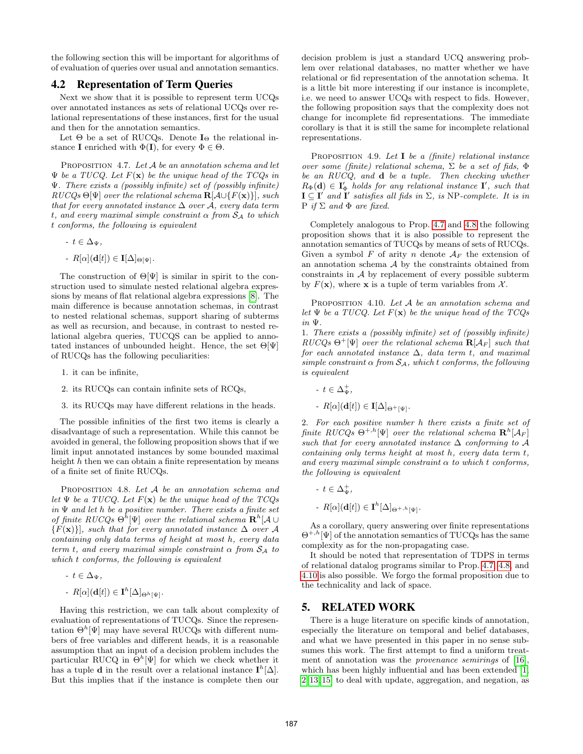the following section this will be important for algorithms of of evaluation of queries over usual and annotation semantics.

#### 4.2 Representation of Term Queries

Next we show that it is possible to represent term UCQs over annotated instances as sets of relational UCQs over relational representations of these instances, first for the usual and then for the annotation semantics.

Let  $\Theta$  be a set of RUCQs. Denote  $I_{\Theta}$  the relational instance **I** enriched with  $\Phi(\mathbf{I})$ , for every  $\Phi \in \Theta$ .

PROPOSITION 4.7. Let  $A$  be an annotation schema and let  $\Psi$  be a TUCQ. Let  $F(\mathbf{x})$  be the unique head of the TCQs in Ψ. There exists a (possibly infinite) set of (possibly infinite)  $RUCQs \Theta[\Psi]$  over the relational schema  $\mathbf{R}[\mathcal{A}\cup\{F(\mathbf{x})\}]$ , such that for every annotated instance  $\Delta$  over A, every data term t, and every maximal simple constraint  $\alpha$  from  $S_A$  to which t conforms, the following is equivalent

- $-t \in \Delta_{\Psi}$ ,
- $-R[\alpha](\mathbf{d}[t]) \in \mathbf{I}[\Delta]_{\Theta[\Psi]}.$

The construction of  $\Theta[\Psi]$  is similar in spirit to the construction used to simulate nested relational algebra expressions by means of flat relational algebra expressions [8]. The main difference is because annotation schemas, in contrast to nested relational schemas, support sharing of subterms as well as recursion, and because, in contrast to nested relational algebra queries, TUCQS can be applied to annotated instances of unbounded height. Hence, the set  $\Theta[\Psi]$ of RUCQs has the following peculiarities:

- 1. it can be infinite,
- 2. its RUCQs can contain infinite sets of RCQs,
- 3. its RUCQs may have different relations in the heads.

The possible infinities of the first two items is clearly a disadvantage of such a representation. While this cannot be avoided in general, the following proposition shows that if we limit input annotated instances by some bounded maximal height  $h$  then we can obtain a finite representation by means of a finite set of finite RUCQs.

PROPOSITION 4.8. Let A be an annotation schema and let  $\Psi$  be a TUCQ. Let  $F(\mathbf{x})$  be the unique head of the TCQs in  $\Psi$  and let  $h$  be a positive number. There exists a finite set of finite RUCQs  $\Theta^h[\Psi]$  over the relational schema  $\mathbf{R}^h[\mathcal{A} \cup$  ${F(\mathbf{x})}$ , such that for every annotated instance  $\Delta$  over A containing only data terms of height at most h, every data term t, and every maximal simple constraint  $\alpha$  from  $S_A$  to which t conforms, the following is equivalent

- 
$$
t \in \Delta_{\Psi}
$$
,  
\n-  $R[\alpha](\mathbf{d}[t]) \in \mathbf{I}^h[\Delta]_{\Theta^h[\Psi]}$ .

Having this restriction, we can talk about complexity of evaluation of representations of TUCQs. Since the representation  $\Theta^h[\Psi]$  may have several RUCQs with different numbers of free variables and different heads, it is a reasonable assumption that an input of a decision problem includes the particular RUCQ in  $\Theta^h[\Psi]$  for which we check whether it has a tuple **d** in the result over a relational instance  $I^h[\Delta]$ . But this implies that if the instance is complete then our decision problem is just a standard UCQ answering problem over relational databases, no matter whether we have relational or fid representation of the annotation schema. It is a little bit more interesting if our instance is incomplete, i.e. we need to answer UCQs with respect to fids. However, the following proposition says that the complexity does not change for incomplete fid representations. The immediate corollary is that it is still the same for incomplete relational representations.

PROPOSITION 4.9. Let  $I$  be a (finite) relational instance over some (finite) relational schema,  $\Sigma$  be a set of fids,  $\Phi$ be an RUCQ, and d be a tuple. Then checking whether  $R_{\Phi}(\mathbf{d}) \in \mathbf{I}'_{\Phi}$  holds for any relational instance  $\mathbf{I}'$ , such that  $I \subseteq I'$  and  $I'$  satisfies all fids in  $\Sigma$ , is NP-complete. It is in  $P$  if  $\Sigma$  and  $\Phi$  are fixed.

Completely analogous to Prop. 4.7 and 4.8 the following proposition shows that it is also possible to represent the annotation semantics of TUCQs by means of sets of RUCQs. Given a symbol F of arity n denote  $A_F$  the extension of an annotation schema  $A$  by the constraints obtained from constraints in A by replacement of every possible subterm by  $F(\mathbf{x})$ , where **x** is a tuple of term variables from  $\mathcal{X}$ .

PROPOSITION 4.10. Let A be an annotation schema and let  $\Psi$  be a TUCQ. Let  $F(\mathbf{x})$  be the unique head of the TCQs in Ψ.

1. There exists a (possibly infinite) set of (possibly infinite)  $RUCQs \Theta^+[\Psi]$  over the relational schema  $\mathbf{R}[\mathcal{A}_F]$  such that for each annotated instance  $\Delta$ , data term t, and maximal simple constraint  $\alpha$  from  $S_A$ , which t conforms, the following is equivalent

- $t\in \Delta_{\Psi}^+,$
- $-R[\alpha](\mathbf{d}[t]) \in \mathbf{I}[\Delta]_{\Theta^+[\Psi]}.$

2. For each positive number h there exists a finite set of finite RUCQs  $\Theta^{+,h}[\Psi]$  over the relational schema  $\mathbf{R}^h[\mathcal{A}_F]$ such that for every annotated instance  $\Delta$  conforming to A containing only terms height at most h, every data term t, and every maximal simple constraint  $\alpha$  to which t conforms. the following is equivalent

-  $t\in \Delta_{\Psi}^+,$ -  $R[\alpha](\mathbf{d}[t]) \in \mathbf{I}^h[\Delta]_{\Theta^{+,h}[\Psi]}.$ 

As a corollary, query answering over finite representations  $\Theta^{+,h}[\Psi]$  of the annotation semantics of TUCQs has the same complexity as for the non-propagating case.

It should be noted that representation of TDPS in terms of relational datalog programs similar to Prop. 4.7, 4.8, and 4.10 is also possible. We forgo the formal proposition due to the technicality and lack of space.

#### 5. RELATED WORK

There is a huge literature on specific kinds of annotation, especially the literature on temporal and belief databases, and what we have presented in this paper in no sense subsumes this work. The first attempt to find a uniform treatment of annotation was the provenance semirings of [16], which has been highly influential and has been extended [1, 2, 13, 15] to deal with update, aggregation, and negation, as